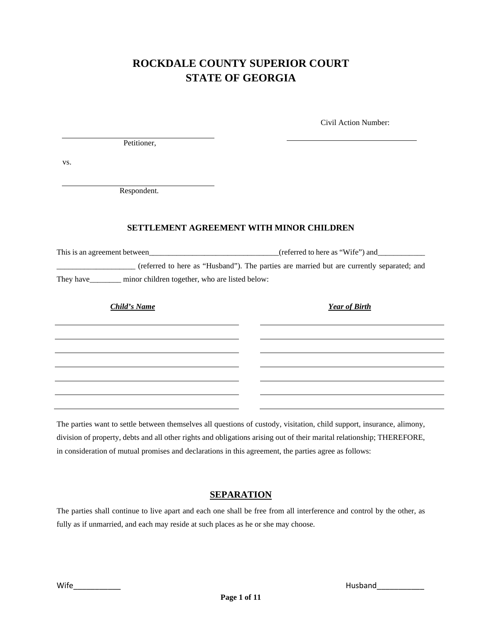# **ROCKDALE COUNTY SUPERIOR COURT STATE OF GEORGIA**

Civil Action Number:

Petitioner,

vs.

Respondent.

### **SETTLEMENT AGREEMENT WITH MINOR CHILDREN**

This is an agreement between\_\_\_\_\_\_\_\_\_\_\_\_\_\_\_\_\_\_\_\_\_\_\_\_\_\_\_\_\_\_\_\_\_(referred to here as "Wife") and\_\_\_\_\_\_\_\_\_\_\_\_ \_\_\_\_\_\_\_\_\_\_\_\_\_\_\_\_\_\_\_\_ (referred to here as "Husband"). The parties are married but are currently separated; and They have\_\_\_\_\_\_\_\_ minor children together, who are listed below:

*Child's Name Year of Birth* 

The parties want to settle between themselves all questions of custody, visitation, child support, insurance, alimony, division of property, debts and all other rights and obligations arising out of their marital relationship; THEREFORE, in consideration of mutual promises and declarations in this agreement, the parties agree as follows:

## **SEPARATION**

The parties shall continue to live apart and each one shall be free from all interference and control by the other, as fully as if unmarried, and each may reside at such places as he or she may choose.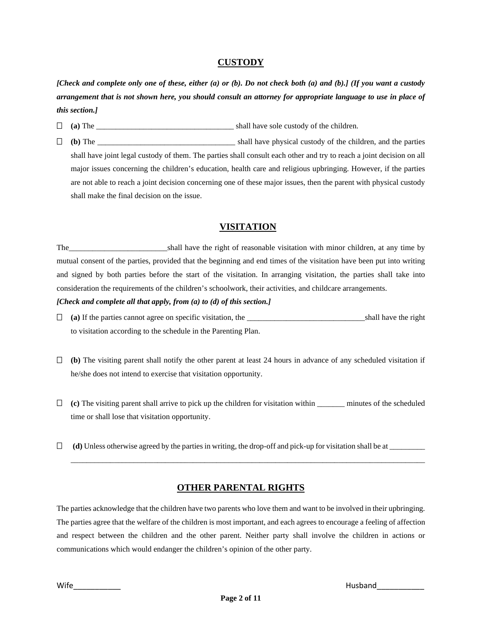### **CUSTODY**

*[Check and complete only one of these, either (a) or (b). Do not check both (a) and (b).] (If you want a custody arrangement that is not shown here, you should consult an attorney for appropriate language to use in place of this section.]*

**(a)** The \_\_\_\_\_\_\_\_\_\_\_\_\_\_\_\_\_\_\_\_\_\_\_\_\_\_\_\_\_\_\_\_\_\_\_ shall have sole custody of the children.

 **(b)** The \_\_\_\_\_\_\_\_\_\_\_\_\_\_\_\_\_\_\_\_\_\_\_\_\_\_\_\_\_\_\_\_\_\_\_ shall have physical custody of the children, and the parties shall have joint legal custody of them. The parties shall consult each other and try to reach a joint decision on all major issues concerning the children's education, health care and religious upbringing. However, if the parties are not able to reach a joint decision concerning one of these major issues, then the parent with physical custody shall make the final decision on the issue.

## **VISITATION**

The shall have the right of reasonable visitation with minor children, at any time by mutual consent of the parties, provided that the beginning and end times of the visitation have been put into writing and signed by both parties before the start of the visitation. In arranging visitation, the parties shall take into consideration the requirements of the children's schoolwork, their activities, and childcare arrangements.

#### *[Check and complete all that apply, from (a) to (d) of this section.]*

- **(a)** If the parties cannot agree on specific visitation, the \_\_\_\_\_\_\_\_\_\_\_\_\_\_\_\_\_\_\_\_\_\_\_\_\_\_\_\_\_\_shall have the right to visitation according to the schedule in the Parenting Plan.
- $\Box$  (b) The visiting parent shall notify the other parent at least 24 hours in advance of any scheduled visitation if he/she does not intend to exercise that visitation opportunity.
- $\Box$  (c) The visiting parent shall arrive to pick up the children for visitation within minutes of the scheduled time or shall lose that visitation opportunity.
- $\Box$  (d) Unless otherwise agreed by the parties in writing, the drop-off and pick-up for visitation shall be at  $\Box$

# **OTHER PARENTAL RIGHTS**

\_\_\_\_\_\_\_\_\_\_\_\_\_\_\_\_\_\_\_\_\_\_\_\_\_\_\_\_\_\_\_\_\_\_\_\_\_\_\_\_\_\_\_\_\_\_\_\_\_\_\_\_\_\_\_\_\_\_\_\_\_\_\_\_\_\_\_\_\_\_\_\_\_\_\_\_\_\_\_\_\_\_\_\_\_\_\_\_\_\_

The parties acknowledge that the children have two parents who love them and want to be involved in their upbringing. The parties agree that the welfare of the children is most important, and each agrees to encourage a feeling of affection and respect between the children and the other parent. Neither party shall involve the children in actions or communications which would endanger the children's opinion of the other party.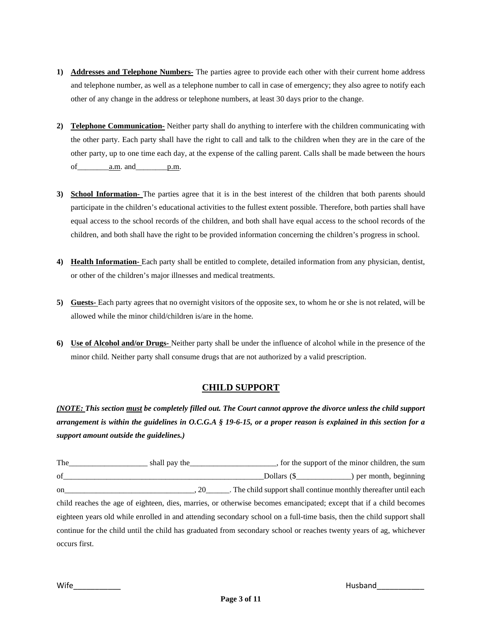- **1) Addresses and Telephone Numbers-** The parties agree to provide each other with their current home address and telephone number, as well as a telephone number to call in case of emergency; they also agree to notify each other of any change in the address or telephone numbers, at least 30 days prior to the change.
- **2) Telephone Communication-** Neither party shall do anything to interfere with the children communicating with the other party. Each party shall have the right to call and talk to the children when they are in the care of the other party, up to one time each day, at the expense of the calling parent. Calls shall be made between the hours of a.m. and p.m.
- **3) School Information-** The parties agree that it is in the best interest of the children that both parents should participate in the children's educational activities to the fullest extent possible. Therefore, both parties shall have equal access to the school records of the children, and both shall have equal access to the school records of the children, and both shall have the right to be provided information concerning the children's progress in school.
- **4) Health Information-** Each party shall be entitled to complete, detailed information from any physician, dentist, or other of the children's major illnesses and medical treatments.
- **5) Guests-** Each party agrees that no overnight visitors of the opposite sex, to whom he or she is not related, will be allowed while the minor child/children is/are in the home.
- **6) Use of Alcohol and/or Drugs-** Neither party shall be under the influence of alcohol while in the presence of the minor child. Neither party shall consume drugs that are not authorized by a valid prescription.

# **CHILD SUPPORT**

*(NOTE: This section must be completely filled out. The Court cannot approve the divorce unless the child support arrangement is within the guidelines in O.C.G.A § 19-6-15, or a proper reason is explained in this section for a support amount outside the guidelines.)*

The shall pay the support of the support of the minor children, the sum of\_\_\_\_\_\_\_\_\_\_\_\_\_\_\_\_\_\_\_\_\_\_\_\_\_\_\_\_\_\_\_\_\_\_\_\_\_\_\_\_\_\_\_\_\_\_\_\_\_\_\_Dollars (\$\_\_\_\_\_\_\_\_\_\_\_\_\_\_) per month, beginning on\_\_\_\_\_\_\_\_\_\_\_\_\_\_\_\_\_\_\_\_\_\_\_\_\_\_\_\_\_\_\_\_\_, 20\_\_\_\_\_\_. The child support shall continue monthly thereafter until each child reaches the age of eighteen, dies, marries, or otherwise becomes emancipated; except that if a child becomes eighteen years old while enrolled in and attending secondary school on a full-time basis, then the child support shall continue for the child until the child has graduated from secondary school or reaches twenty years of ag, whichever occurs first.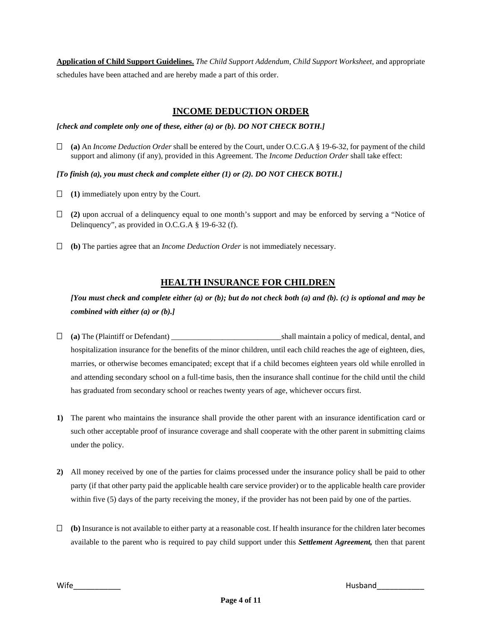**Application of Child Support Guidelines.** *The Child Support Addendum, Child Support Worksheet,* and appropriate schedules have been attached and are hereby made a part of this order.

# **INCOME DEDUCTION ORDER**

*[check and complete only one of these, either (a) or (b). DO NOT CHECK BOTH.]*

- **(a)** An *Income Deduction Order* shall be entered by the Court, under O.C.G.A § 19-6-32, for payment of the child support and alimony (if any), provided in this Agreement. The *Income Deduction Order* shall take effect:
- *[To finish (a), you must check and complete either (1) or (2). DO NOT CHECK BOTH.]*
- **(1)** immediately upon entry by the Court.
- **(2)** upon accrual of a delinquency equal to one month's support and may be enforced by serving a "Notice of Delinquency", as provided in O.C.G.A § 19-6-32 (f).
- **(b)** The parties agree that an *Income Deduction Order* is not immediately necessary.

## **HEALTH INSURANCE FOR CHILDREN**

*[You must check and complete either (a) or (b); but do not check both (a) and (b). (c) is optional and may be combined with either (a) or (b).]*

- **(a)** The (Plaintiff or Defendant) \_\_\_\_\_\_\_\_\_\_\_\_\_\_\_\_\_\_\_\_\_\_\_\_\_\_\_\_shall maintain a policy of medical, dental, and hospitalization insurance for the benefits of the minor children, until each child reaches the age of eighteen, dies, marries, or otherwise becomes emancipated; except that if a child becomes eighteen years old while enrolled in and attending secondary school on a full-time basis, then the insurance shall continue for the child until the child has graduated from secondary school or reaches twenty years of age, whichever occurs first.
- **1)** The parent who maintains the insurance shall provide the other parent with an insurance identification card or such other acceptable proof of insurance coverage and shall cooperate with the other parent in submitting claims under the policy.
- **2)** All money received by one of the parties for claims processed under the insurance policy shall be paid to other party (if that other party paid the applicable health care service provider) or to the applicable health care provider within five (5) days of the party receiving the money, if the provider has not been paid by one of the parties.
- **(b)** Insurance is not available to either party at a reasonable cost. If health insurance for the children later becomes available to the parent who is required to pay child support under this *Settlement Agreement,* then that parent

Wife **Wife**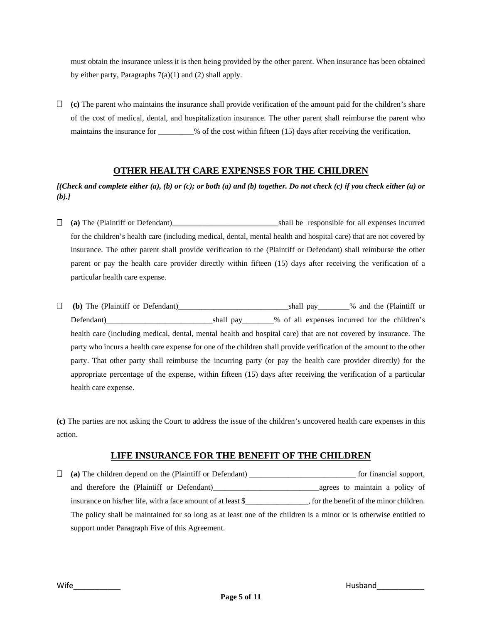must obtain the insurance unless it is then being provided by the other parent. When insurance has been obtained by either party, Paragraphs  $7(a)(1)$  and  $(2)$  shall apply.

 **(c)** The parent who maintains the insurance shall provide verification of the amount paid for the children's share of the cost of medical, dental, and hospitalization insurance. The other parent shall reimburse the parent who maintains the insurance for \_\_\_\_\_\_\_\_% of the cost within fifteen (15) days after receiving the verification.

# **OTHER HEALTH CARE EXPENSES FOR THE CHILDREN**

*[(Check and complete either (a), (b) or (c); or both (a) and (b) together. Do not check (c) if you check either (a) or (b).]*

- **(a)** The (Plaintiff or Defendant)\_\_\_\_\_\_\_\_\_\_\_\_\_\_\_\_\_\_\_\_\_\_\_\_\_\_\_shall be responsible for all expenses incurred for the children's health care (including medical, dental, mental health and hospital care) that are not covered by insurance. The other parent shall provide verification to the (Plaintiff or Defendant) shall reimburse the other parent or pay the health care provider directly within fifteen (15) days after receiving the verification of a particular health care expense.
- **(b)** The (Plaintiff or Defendant)\_\_\_\_\_\_\_\_\_\_\_\_\_\_\_\_\_\_\_\_\_\_\_\_\_\_\_\_shall pay\_\_\_\_\_\_\_\_% and the (Plaintiff or Defendant)\_\_\_\_\_\_\_\_\_\_\_\_\_\_\_\_\_\_\_\_\_\_\_\_\_\_\_shall pay\_\_\_\_\_\_\_\_% of all expenses incurred for the children's health care (including medical, dental, mental health and hospital care) that are not covered by insurance. The party who incurs a health care expense for one of the children shall provide verification of the amount to the other party. That other party shall reimburse the incurring party (or pay the health care provider directly) for the appropriate percentage of the expense, within fifteen (15) days after receiving the verification of a particular health care expense.

**(c)** The parties are not asking the Court to address the issue of the children's uncovered health care expenses in this action.

## **LIFE INSURANCE FOR THE BENEFIT OF THE CHILDREN**

| (a) The children depend on the (Plaintiff or Defendant) ________________________                                  | for financial support,                   |
|-------------------------------------------------------------------------------------------------------------------|------------------------------------------|
| and therefore the (Plaintiff or Defendant)__________                                                              | agrees to maintain a policy of           |
| insurance on his/her life, with a face amount of at least \$                                                      | , for the benefit of the minor children. |
| The policy shall be maintained for so long as at least one of the children is a minor or is otherwise entitled to |                                          |
| support under Paragraph Five of this Agreement.                                                                   |                                          |

Wife\_\_\_\_\_\_\_\_\_\_\_ Husband\_\_\_\_\_\_\_\_\_\_\_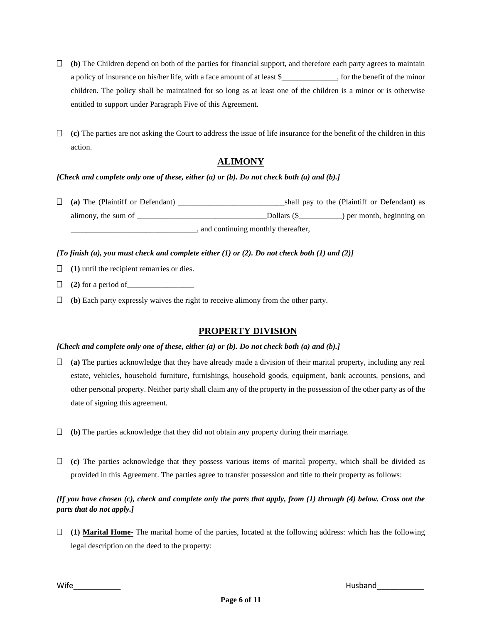- **(b)** The Children depend on both of the parties for financial support, and therefore each party agrees to maintain a policy of insurance on his/her life, with a face amount of at least \$\_\_\_\_\_\_\_\_\_\_\_\_\_\_, for the benefit of the minor children. The policy shall be maintained for so long as at least one of the children is a minor or is otherwise entitled to support under Paragraph Five of this Agreement.
- **(c)** The parties are not asking the Court to address the issue of life insurance for the benefit of the children in this action.

## **ALIMONY**

#### *[Check and complete only one of these, either (a) or (b). Do not check both (a) and (b).]*

 **(a)** The (Plaintiff or Defendant) \_\_\_\_\_\_\_\_\_\_\_\_\_\_\_\_\_\_\_\_\_\_\_\_\_\_\_shall pay to the (Plaintiff or Defendant) as alimony, the sum of  $\Box$  Dollars (\$  $\Box$ ) per month, beginning on \_\_\_\_\_\_\_\_\_\_\_\_\_\_\_\_\_\_\_\_\_\_\_\_\_\_\_\_\_\_\_\_, and continuing monthly thereafter,

#### *[To finish (a), you must check and complete either (1) or (2). Do not check both (1) and (2)]*

- **(1)** until the recipient remarries or dies.
- $\Box$  (2) for a period of  $\Box$
- **(b)** Each party expressly waives the right to receive alimony from the other party.

## **PROPERTY DIVISION**

#### *[Check and complete only one of these, either (a) or (b). Do not check both (a) and (b).]*

- **(a)** The parties acknowledge that they have already made a division of their marital property, including any real estate, vehicles, household furniture, furnishings, household goods, equipment, bank accounts, pensions, and other personal property. Neither party shall claim any of the property in the possession of the other party as of the date of signing this agreement.
- **(b)** The parties acknowledge that they did not obtain any property during their marriage.
- **(c)** The parties acknowledge that they possess various items of marital property, which shall be divided as provided in this Agreement. The parties agree to transfer possession and title to their property as follows:

### *[If you have chosen (c), check and complete only the parts that apply, from (1) through (4) below. Cross out the parts that do not apply.]*

 **(1) Marital Home-** The marital home of the parties, located at the following address: which has the following legal description on the deed to the property:

Wife\_\_\_\_\_\_\_\_\_\_\_ Husband\_\_\_\_\_\_\_\_\_\_\_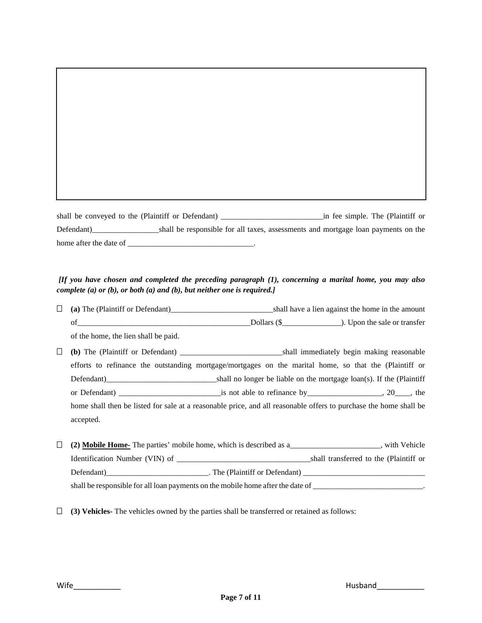shall be conveyed to the (Plaintiff or Defendant) \_\_\_\_\_\_\_\_\_\_\_\_\_\_\_\_\_\_\_\_\_\_\_\_\_\_in fee simple. The (Plaintiff or Defendant)\_\_\_\_\_\_\_\_\_\_\_\_\_\_\_\_\_shall be responsible for all taxes, assessments and mortgage loan payments on the home after the date of \_\_\_\_\_\_\_\_\_\_\_\_\_\_\_\_\_\_\_\_\_\_\_\_\_\_\_\_\_\_\_\_.

## *[If you have chosen and completed the preceding paragraph (1), concerning a marital home, you may also complete (a) or (b), or both (a) and (b), but neither one is required.]*

| Ш | (a) The (Plaintiff or Defendant)     |                                                                                                                   | shall have a lien against the home in the amount                               |
|---|--------------------------------------|-------------------------------------------------------------------------------------------------------------------|--------------------------------------------------------------------------------|
|   |                                      |                                                                                                                   | Dollars (\$ <u>________</u> ). Upon the sale or transfer                       |
|   | of the home, the lien shall be paid. |                                                                                                                   |                                                                                |
| Ш |                                      |                                                                                                                   |                                                                                |
|   |                                      | efforts to refinance the outstanding mortgage/mortgages on the marital home, so that the (Plaintiff or            |                                                                                |
|   |                                      |                                                                                                                   | shall no longer be liable on the mortgage $\text{loan}(s)$ . If the (Plaintiff |
|   |                                      |                                                                                                                   |                                                                                |
|   |                                      | home shall then be listed for sale at a reasonable price, and all reasonable offers to purchase the home shall be |                                                                                |
|   | accepted.                            |                                                                                                                   |                                                                                |
|   |                                      |                                                                                                                   |                                                                                |

|                                                                                 | (2) Mobile Home-The parties' mobile home, which is described as a | with Vehicle                           |
|---------------------------------------------------------------------------------|-------------------------------------------------------------------|----------------------------------------|
|                                                                                 | Identification Number (VIN) of                                    | shall transferred to the (Plaintiff or |
|                                                                                 | . The (Plaintiff or Defendant)<br>Defendant)                      |                                        |
| shall be responsible for all loan payments on the mobile home after the date of |                                                                   |                                        |

**(3) Vehicles-** The vehicles owned by the parties shall be transferred or retained as follows: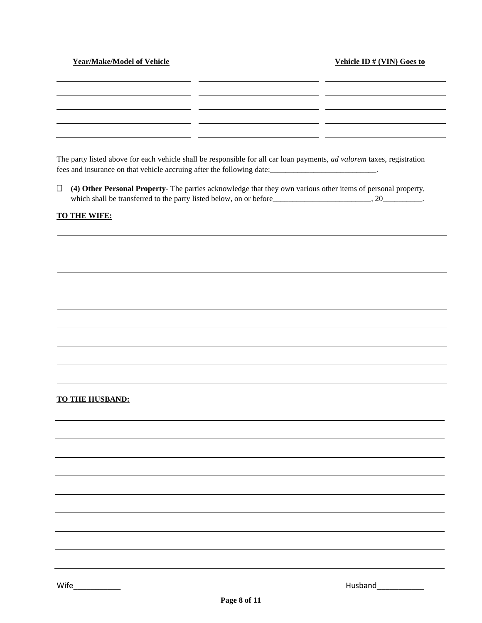#### **Year/Make/Model of Vehicle 32 Security 10 Security 10 Security 10 Security 10 Security 10 Security 10 Security 10 Security 10 Security 10 Security 10 Security 10 Security 10 Security 10 Security 10 Security 10 Security 1**

\_ \_

 $\overline{\phantom{a}}$ a an

| The party listed above for each vehicle shall be responsible for all car loan payments, <i>ad valorem</i> taxes, registration |
|-------------------------------------------------------------------------------------------------------------------------------|
| fees and insurance on that vehicle accruing after the following date:                                                         |

a si

\_ \_

 **(4) Other Personal Property**- The parties acknowledge that they own various other items of personal property, which shall be transferred to the party listed below, on or before\_\_\_\_\_\_\_\_\_\_\_\_\_\_\_\_\_\_\_\_\_\_\_\_, 20\_\_\_\_\_\_\_\_\_\_\_.

#### **TO THE WIFE:**

#### **TO THE HUSBAND:**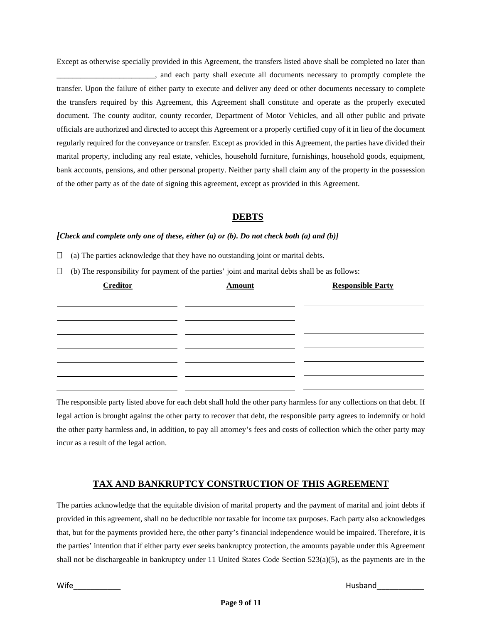Except as otherwise specially provided in this Agreement, the transfers listed above shall be completed no later than \_\_\_\_\_\_\_\_\_\_\_\_\_\_\_\_\_\_\_\_\_\_\_\_\_, and each party shall execute all documents necessary to promptly complete the transfer. Upon the failure of either party to execute and deliver any deed or other documents necessary to complete the transfers required by this Agreement, this Agreement shall constitute and operate as the properly executed document. The county auditor, county recorder, Department of Motor Vehicles, and all other public and private officials are authorized and directed to accept this Agreement or a properly certified copy of it in lieu of the document regularly required for the conveyance or transfer. Except as provided in this Agreement, the parties have divided their marital property, including any real estate, vehicles, household furniture, furnishings, household goods, equipment, bank accounts, pensions, and other personal property. Neither party shall claim any of the property in the possession of the other party as of the date of signing this agreement, except as provided in this Agreement.

## **DEBTS**

### *[Check and complete only one of these, either (a) or (b). Do not check both (a) and (b)]*

- $\Box$  (a) The parties acknowledge that they have no outstanding joint or marital debts.
- $\Box$  (b) The responsibility for payment of the parties' joint and marital debts shall be as follows:

| <b>Creditor</b> | <b>Amount</b> | <b>Responsible Party</b> |
|-----------------|---------------|--------------------------|
|                 |               |                          |
|                 |               |                          |
|                 |               |                          |
|                 |               |                          |
|                 |               |                          |
|                 |               |                          |
|                 |               |                          |

The responsible party listed above for each debt shall hold the other party harmless for any collections on that debt. If legal action is brought against the other party to recover that debt, the responsible party agrees to indemnify or hold the other party harmless and, in addition, to pay all attorney's fees and costs of collection which the other party may incur as a result of the legal action.

## **TAX AND BANKRUPTCY CONSTRUCTION OF THIS AGREEMENT**

The parties acknowledge that the equitable division of marital property and the payment of marital and joint debts if provided in this agreement, shall no be deductible nor taxable for income tax purposes. Each party also acknowledges that, but for the payments provided here, the other party's financial independence would be impaired. Therefore, it is the parties' intention that if either party ever seeks bankruptcy protection, the amounts payable under this Agreement shall not be dischargeable in bankruptcy under 11 United States Code Section 523(a)(5), as the payments are in the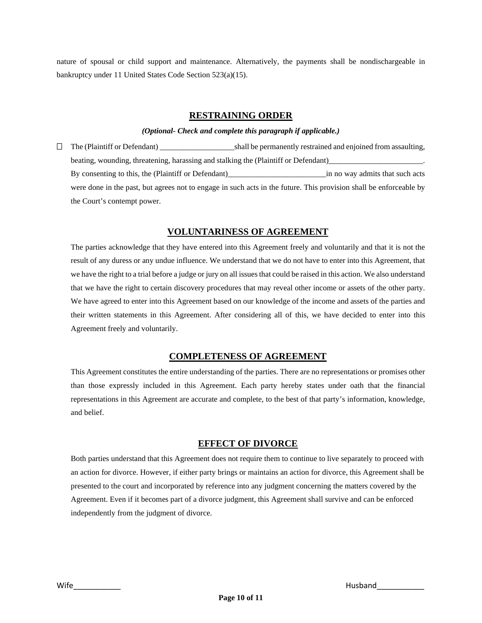nature of spousal or child support and maintenance. Alternatively, the payments shall be nondischargeable in bankruptcy under 11 United States Code Section 523(a)(15).

### **RESTRAINING ORDER**

#### *(Optional- Check and complete this paragraph if applicable.)*

 The (Plaintiff or Defendant) \_\_\_\_\_\_\_\_\_\_\_\_\_\_\_\_\_\_\_shall be permanently restrained and enjoined from assaulting, beating, wounding, threatening, harassing and stalking the (Plaintiff or Defendant)\_ By consenting to this, the (Plaintiff or Defendant)\_\_\_\_\_\_\_\_\_\_\_\_\_\_\_\_\_\_\_\_\_\_\_\_\_in no way admits that such acts were done in the past, but agrees not to engage in such acts in the future. This provision shall be enforceable by the Court's contempt power.

## **VOLUNTARINESS OF AGREEMENT**

The parties acknowledge that they have entered into this Agreement freely and voluntarily and that it is not the result of any duress or any undue influence. We understand that we do not have to enter into this Agreement, that we have the right to a trial before a judge or jury on all issues that could be raised in this action. We also understand that we have the right to certain discovery procedures that may reveal other income or assets of the other party. We have agreed to enter into this Agreement based on our knowledge of the income and assets of the parties and their written statements in this Agreement. After considering all of this, we have decided to enter into this Agreement freely and voluntarily.

## **COMPLETENESS OF AGREEMENT**

This Agreement constitutes the entire understanding of the parties. There are no representations or promises other than those expressly included in this Agreement. Each party hereby states under oath that the financial representations in this Agreement are accurate and complete, to the best of that party's information, knowledge, and belief.

## **EFFECT OF DIVORCE**

Both parties understand that this Agreement does not require them to continue to live separately to proceed with an action for divorce. However, if either party brings or maintains an action for divorce, this Agreement shall be presented to the court and incorporated by reference into any judgment concerning the matters covered by the Agreement. Even if it becomes part of a divorce judgment, this Agreement shall survive and can be enforced independently from the judgment of divorce.